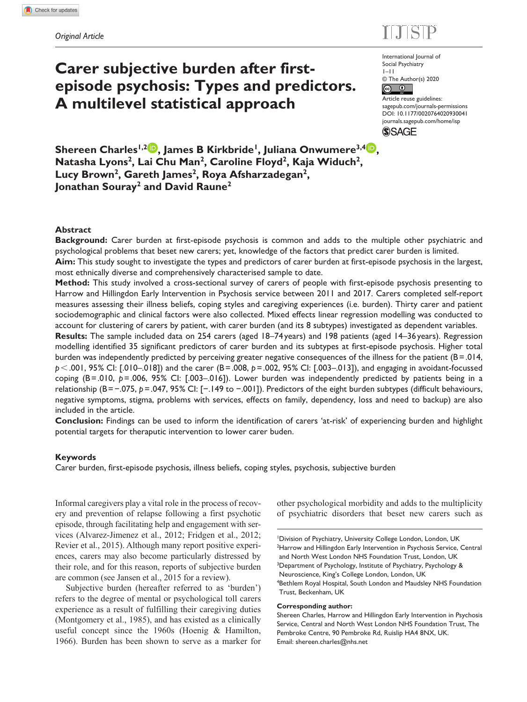# $E = 100$

# **Carer subjective burden after firstepisode psychosis: Types and predictors. A multilevel statistical approach**

International Journal of Social Psychiatry 1–11 © The Author(s) 2020

 $\circ$   $\circ$ Article reuse guidelines: [sagepub.com/journals-permissions](https://uk.sagepub.com/en-gb/journals-permissions) DOI: 10.1177/0020764020930041 [journals.sagepub.com/home/isp](https://journals.sagepub.com/home/isp)

**SSAGE** 

**Shereen Charles<sup>1,2</sup><sup>D</sup>, James B Kirkbride<sup>1</sup>, Juliana Onwumere<sup>3,4</sup><sup>D</sup>,** Natasha Lyons<sup>2</sup>, Lai Chu Man<sup>2</sup>, Caroline Floyd<sup>2</sup>, Kaja Widuch<sup>2</sup>, Lucy Brown<sup>2</sup>, Gareth James<sup>2</sup>, Roya Afsharzadegan<sup>2</sup>, **Jonathan Souray2 and David Raune2**

## **Abstract**

**Background:** Carer burden at first-episode psychosis is common and adds to the multiple other psychiatric and psychological problems that beset new carers; yet, knowledge of the factors that predict carer burden is limited.

**Aim:** This study sought to investigate the types and predictors of carer burden at first-episode psychosis in the largest, most ethnically diverse and comprehensively characterised sample to date.

**Method:** This study involved a cross-sectional survey of carers of people with first-episode psychosis presenting to Harrow and Hillingdon Early Intervention in Psychosis service between 2011 and 2017. Carers completed self-report measures assessing their illness beliefs, coping styles and caregiving experiences (i.e. burden). Thirty carer and patient sociodemographic and clinical factors were also collected. Mixed effects linear regression modelling was conducted to account for clustering of carers by patient, with carer burden (and its 8 subtypes) investigated as dependent variables.

**Results:** The sample included data on 254 carers (aged 18–74 years) and 198 patients (aged 14–36 years). Regression modelling identified 35 significant predictors of carer burden and its subtypes at first-episode psychosis. Higher total burden was independently predicted by perceiving greater negative consequences of the illness for the patient  $(B=0.014,$ *p*<.001, 95% CI: [.010–.018]) and the carer (B=.008, *p*=.002, 95% CI: [.003–.013]), and engaging in avoidant-focussed coping (B=.010, *p*=.006, 95% CI: [.003–.016]). Lower burden was independently predicted by patients being in a relationship (B=−.075, *p*=.047, 95% CI: [−.149 to −.001]). Predictors of the eight burden subtypes (difficult behaviours, negative symptoms, stigma, problems with services, effects on family, dependency, loss and need to backup) are also included in the article.

**Conclusion:** Findings can be used to inform the identification of carers 'at-risk' of experiencing burden and highlight potential targets for theraputic intervention to lower carer buden.

## **Keywords**

Carer burden, first-episode psychosis, illness beliefs, coping styles, psychosis, subjective burden

Informal caregivers play a vital role in the process of recovery and prevention of relapse following a first psychotic episode, through facilitating help and engagement with services (Alvarez-Jimenez et al., 2012; Fridgen et al., 2012; Revier et al., 2015). Although many report positive experiences, carers may also become particularly distressed by their role, and for this reason, reports of subjective burden are common (see Jansen et al., 2015 for a review).

Subjective burden (hereafter referred to as 'burden') refers to the degree of mental or psychological toll carers experience as a result of fulfilling their caregiving duties (Montgomery et al., 1985), and has existed as a clinically useful concept since the 1960s (Hoenig & Hamilton, 1966). Burden has been shown to serve as a marker for other psychological morbidity and adds to the multiplicity of psychiatric disorders that beset new carers such as

## **Corresponding author:**

Shereen Charles, Harrow and Hillingdon Early Intervention in Psychosis Service, Central and North West London NHS Foundation Trust, The Pembroke Centre, 90 Pembroke Rd, Ruislip HA4 8NX, UK. Email: [shereen.charles@nhs.net](mailto:shereen.charles@nhs.net)

<sup>&</sup>lt;sup>1</sup>Division of Psychiatry, University College London, London, UK <sup>2</sup>Harrow and Hillingdon Early Intervention in Psychosis Service, Central and North West London NHS Foundation Trust, London, UK <sup>3</sup>Department of Psychology, Institute of Psychiatry, Psychology & Neuroscience, King's College London, London, UK 4 Bethlem Royal Hospital, South London and Maudsley NHS Foundation Trust, Beckenham, UK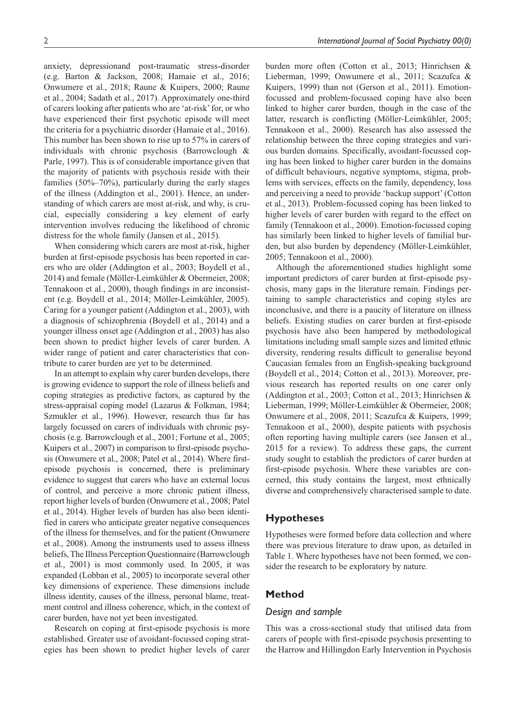anxiety, depressionand post-traumatic stress-disorder (e.g. Barton & Jackson, 2008; Hamaie et al., 2016; Onwumere et al., 2018; Raune & Kuipers, 2000; Raune et al., 2004; Sadath et al., 2017). Approximately one-third of carers looking after patients who are 'at-risk' for, or who have experienced their first psychotic episode will meet the criteria for a psychiatric disorder (Hamaie et al., 2016). This number has been shown to rise up to 57% in carers of individuals with chronic psychosis (Barrowclough & Parle, 1997). This is of considerable importance given that the majority of patients with psychosis reside with their families (50%–70%), particularly during the early stages of the illness (Addington et al., 2001). Hence, an understanding of which carers are most at-risk, and why, is crucial, especially considering a key element of early intervention involves reducing the likelihood of chronic distress for the whole family (Jansen et al., 2015).

When considering which carers are most at-risk, higher burden at first-episode psychosis has been reported in carers who are older (Addington et al., 2003; Boydell et al., 2014) and female (Möller-Leimkühler & Obermeier, 2008; Tennakoon et al., 2000), though findings in are inconsistent (e.g. Boydell et al., 2014; Möller-Leimkühler, 2005). Caring for a younger patient (Addington et al., 2003), with a diagnosis of schizophrenia (Boydell et al., 2014) and a younger illness onset age (Addington et al., 2003) has also been shown to predict higher levels of carer burden. A wider range of patient and carer characteristics that contribute to carer burden are yet to be determined.

In an attempt to explain why carer burden develops, there is growing evidence to support the role of illness beliefs and coping strategies as predictive factors, as captured by the stress-appraisal coping model (Lazarus & Folkman, 1984; Szmukler et al., 1996). However, research thus far has largely focussed on carers of individuals with chronic psychosis (e.g. Barrowclough et al., 2001; Fortune et al., 2005; Kuipers et al., 2007) in comparison to first-episode psychosis (Onwumere et al., 2008; Patel et al., 2014). Where firstepisode psychosis is concerned, there is preliminary evidence to suggest that carers who have an external locus of control, and perceive a more chronic patient illness, report higher levels of burden (Onwumere et al., 2008; Patel et al., 2014). Higher levels of burden has also been identified in carers who anticipate greater negative consequences of the illness for themselves, and for the patient (Onwumere et al., 2008). Among the instruments used to assess illness beliefs, The Illness Perception Questionnaire (Barrowclough et al., 2001) is most commonly used. In 2005, it was expanded (Lobban et al., 2005) to incorporate several other key dimensions of experience. These dimensions include illness identity, causes of the illness, personal blame, treatment control and illness coherence, which, in the context of carer burden, have not yet been investigated.

Research on coping at first-episode psychosis is more established. Greater use of avoidant-focussed coping strategies has been shown to predict higher levels of carer burden more often (Cotton et al., 2013; Hinrichsen & Lieberman, 1999; Onwumere et al., 2011; Scazufca & Kuipers, 1999) than not (Gerson et al., 2011). Emotionfocussed and problem-focussed coping have also been linked to higher carer burden, though in the case of the latter, research is conflicting (Möller-Leimkühler, 2005; Tennakoon et al., 2000). Research has also assessed the relationship between the three coping strategies and various burden domains. Specifically, avoidant-focussed coping has been linked to higher carer burden in the domains of difficult behaviours, negative symptoms, stigma, problems with services, effects on the family, dependency, loss and perceiving a need to provide 'backup support' (Cotton et al., 2013). Problem-focussed coping has been linked to higher levels of carer burden with regard to the effect on family (Tennakoon et al., 2000). Emotion-focussed coping has similarly been linked to higher levels of familial burden, but also burden by dependency (Möller-Leimkühler, 2005; Tennakoon et al., 2000).

Although the aforementioned studies highlight some important predictors of carer burden at first-episode psychosis, many gaps in the literature remain. Findings pertaining to sample characteristics and coping styles are inconclusive, and there is a paucity of literature on illness beliefs. Existing studies on carer burden at first-episode psychosis have also been hampered by methodological limitations including small sample sizes and limited ethnic diversity, rendering results difficult to generalise beyond Caucasian females from an English-speaking background (Boydell et al., 2014; Cotton et al., 2013). Moreover, previous research has reported results on one carer only (Addington et al., 2003; Cotton et al., 2013; Hinrichsen & Lieberman, 1999; Möller-Leimkühler & Obermeier, 2008; Onwumere et al., 2008, 2011; Scazufca & Kuipers, 1999; Tennakoon et al., 2000), despite patients with psychosis often reporting having multiple carers (see Jansen et al., 2015 for a review). To address these gaps, the current study sought to establish the predictors of carer burden at first-episode psychosis. Where these variables are concerned, this study contains the largest, most ethnically diverse and comprehensively characterised sample to date.

## **Hypotheses**

Hypotheses were formed before data collection and where there was previous literature to draw upon, as detailed in Table 1. Where hypotheses have not been formed, we consider the research to be exploratory by nature.

# **Method**

### *Design and sample*

This was a cross-sectional study that utilised data from carers of people with first-episode psychosis presenting to the Harrow and Hillingdon Early Intervention in Psychosis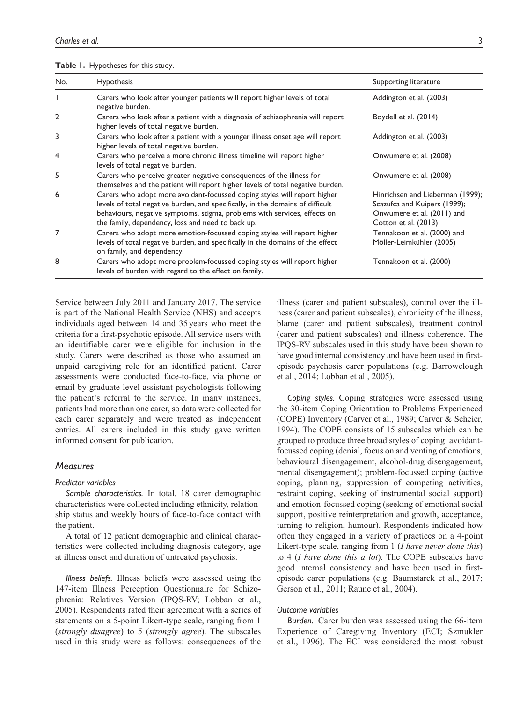#### **Table 1.** Hypotheses for this study.

| No.            | Hypothesis                                                                                                                                                                                                                                                                                   | Supporting literature                                                                                                  |
|----------------|----------------------------------------------------------------------------------------------------------------------------------------------------------------------------------------------------------------------------------------------------------------------------------------------|------------------------------------------------------------------------------------------------------------------------|
|                | Carers who look after younger patients will report higher levels of total<br>negative burden.                                                                                                                                                                                                | Addington et al. (2003)                                                                                                |
| $\overline{2}$ | Carers who look after a patient with a diagnosis of schizophrenia will report<br>higher levels of total negative burden.                                                                                                                                                                     | Boydell et al. (2014)                                                                                                  |
| 3              | Carers who look after a patient with a younger illness onset age will report<br>higher levels of total negative burden.                                                                                                                                                                      | Addington et al. (2003)                                                                                                |
| 4              | Carers who perceive a more chronic illness timeline will report higher<br>levels of total negative burden.                                                                                                                                                                                   | Onwumere et al. (2008)                                                                                                 |
| 5              | Carers who perceive greater negative consequences of the illness for<br>themselves and the patient will report higher levels of total negative burden.                                                                                                                                       | Onwumere et al. (2008)                                                                                                 |
| 6              | Carers who adopt more avoidant-focussed coping styles will report higher<br>levels of total negative burden, and specifically, in the domains of difficult<br>behaviours, negative symptoms, stigma, problems with services, effects on<br>the family, dependency, loss and need to back up. | Hinrichsen and Lieberman (1999);<br>Scazufca and Kuipers (1999);<br>Onwumere et al. (2011) and<br>Cotton et al. (2013) |
| 7              | Carers who adopt more emotion-focussed coping styles will report higher<br>levels of total negative burden, and specifically in the domains of the effect<br>on family, and dependency.                                                                                                      | Tennakoon et al. (2000) and<br>Möller-Leimkühler (2005)                                                                |
| 8              | Carers who adopt more problem-focussed coping styles will report higher<br>levels of burden with regard to the effect on family.                                                                                                                                                             | Tennakoon et al. (2000)                                                                                                |

Service between July 2011 and January 2017. The service is part of the National Health Service (NHS) and accepts individuals aged between 14 and 35 years who meet the criteria for a first-psychotic episode. All service users with an identifiable carer were eligible for inclusion in the study. Carers were described as those who assumed an unpaid caregiving role for an identified patient. Carer assessments were conducted face-to-face, via phone or email by graduate-level assistant psychologists following the patient's referral to the service. In many instances, patients had more than one carer, so data were collected for each carer separately and were treated as independent entries. All carers included in this study gave written informed consent for publication.

## *Measures*

#### *Predictor variables*

*Sample characteristics.* In total, 18 carer demographic characteristics were collected including ethnicity, relationship status and weekly hours of face-to-face contact with the patient.

A total of 12 patient demographic and clinical characteristics were collected including diagnosis category, age at illness onset and duration of untreated psychosis.

*Illness beliefs.* Illness beliefs were assessed using the 147-item Illness Perception Questionnaire for Schizophrenia: Relatives Version (IPQS-RV; Lobban et al., 2005). Respondents rated their agreement with a series of statements on a 5-point Likert-type scale, ranging from 1 (*strongly disagree*) to 5 (*strongly agree*). The subscales used in this study were as follows: consequences of the illness (carer and patient subscales), control over the illness (carer and patient subscales), chronicity of the illness, blame (carer and patient subscales), treatment control (carer and patient subscales) and illness coherence. The IPQS-RV subscales used in this study have been shown to have good internal consistency and have been used in firstepisode psychosis carer populations (e.g. Barrowclough et al., 2014; Lobban et al., 2005).

*Coping styles.* Coping strategies were assessed using the 30-item Coping Orientation to Problems Experienced (COPE) Inventory (Carver et al., 1989; Carver & Scheier, 1994). The COPE consists of 15 subscales which can be grouped to produce three broad styles of coping: avoidantfocussed coping (denial, focus on and venting of emotions, behavioural disengagement, alcohol-drug disengagement, mental disengagement); problem-focussed coping (active coping, planning, suppression of competing activities, restraint coping, seeking of instrumental social support) and emotion-focussed coping (seeking of emotional social support, positive reinterpretation and growth, acceptance, turning to religion, humour). Respondents indicated how often they engaged in a variety of practices on a 4-point Likert-type scale, ranging from 1 (*I have never done this*) to 4 (*I have done this a lot*). The COPE subscales have good internal consistency and have been used in firstepisode carer populations (e.g. Baumstarck et al., 2017; Gerson et al., 2011; Raune et al., 2004).

#### *Outcome variables*

*Burden.* Carer burden was assessed using the 66-item Experience of Caregiving Inventory (ECI; Szmukler et al., 1996). The ECI was considered the most robust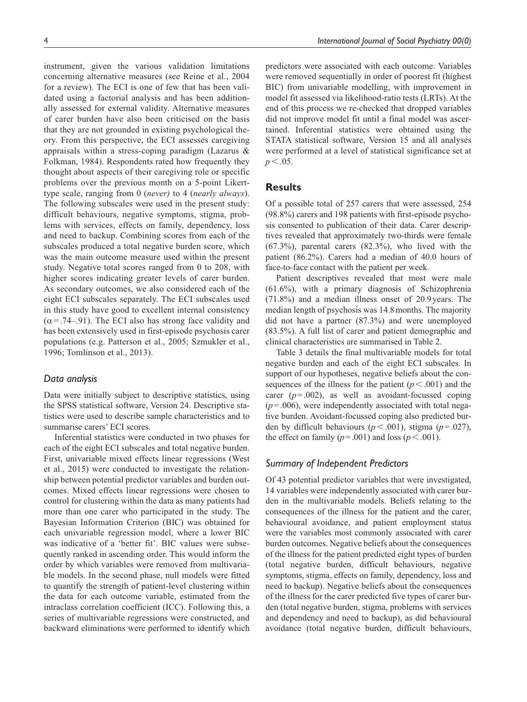instrument, given the various validation limitations concerning alternative measures (see Reine et al., 2004 for a review). The ECI is one of few that has been validated using a factorial analysis and has been additionally assessed for external validity. Alternative measures of carer burden have also been criticised on the basis that they are not grounded in existing psychological theory. From this perspective, the ECI assesses caregiving appraisals within a stress-coping paradigm (Lazarus & Folkman, 1984). Respondents rated how frequently they thought about aspects of their caregiving role or specific problems over the previous month on a 5-point Likerttype scale, ranging from 0 (*never)* to 4 (*nearly always*). The following subscales were used in the present study: difficult behaviours, negative symptoms, stigma, problems with services, effects on family, dependency, loss and need to backup. Combining scores from each of the subscales produced a total negative burden score, which was the main outcome measure used within the present study. Negative total scores ranged from 0 to 208, with higher scores indicating greater levels of carer burden. As secondary outcomes, we also considered each of the eight ECI subscales separately. The ECI subscales used in this study have good to excellent internal consistency  $(\alpha = .74–.91)$ . The ECI also has strong face validity and has been extensively used in first-episode psychosis carer populations (e.g. Patterson et al., 2005; Szmukler et al., 1996; Tomlinson et al., 2013).

## *Data analysis*

Data were initially subject to descriptive statistics, using the SPSS statistical software, Version 24. Descriptive statistics were used to describe sample characteristics and to summarise carers' ECI scores.

Inferential statistics were conducted in two phases for each of the eight ECI subscales and total negative burden. First, univariable mixed effects linear regressions (West et al., 2015) were conducted to investigate the relationship between potential predictor variables and burden outcomes. Mixed effects linear regressions were chosen to control for clustering within the data as many patients had more than one carer who participated in the study. The Bayesian Information Criterion (BIC) was obtained for each univariable regression model, where a lower BIC was indicative of a 'better fit'. BIC values were subsequently ranked in ascending order. This would inform the order by which variables were removed from multivariable models. In the second phase, null models were fitted to quantify the strength of patient-level clustering within the data for each outcome variable, estimated from the intraclass correlation coefficient (ICC). Following this, a series of multivariable regressions were constructed, and backward eliminations were performed to identify which predictors were associated with each outcome. Variables were removed sequentially in order of poorest fit (highest BIC) from univariable modelling, with improvement in model fit assessed via likelihood-ratio tests (LRTs). At the end of this process we re-checked that dropped variables did not improve model fit until a final model was ascertained. Inferential statistics were obtained using the STATA statistical software, Version 15 and all analyses were performed at a level of statistical significance set at  $p < .05$ .

# **Results**

Of a possible total of 257 carers that were assessed, 254 (98.8%) carers and 198 patients with first-episode psychosis consented to publication of their data. Carer descriptives revealed that approximately two-thirds were female (67.3%), parental carers (82.3%), who lived with the patient (86.2%). Carers had a median of 40.0 hours of face-to-face contact with the patient per week.

Patient descriptives revealed that most were male (61.6%), with a primary diagnosis of Schizophrenia (71.8%) and a median illness onset of 20.9years. The median length of psychosis was 14.8months. The majority did not have a partner (87.3%) and were unemployed (83.5%). A full list of carer and patient demographic and clinical characteristics are summarised in Table 2.

Table 3 details the final multivariable models for total negative burden and each of the eight ECI subscales. In support of our hypotheses, negative beliefs about the consequences of the illness for the patient  $(p < .001)$  and the carer  $(p=.002)$ , as well as avoidant-focussed coping  $(p=.006)$ , were independently associated with total negative burden. Avoidant-focussed coping also predicted burden by difficult behaviours ( $p < .001$ ), stigma ( $p = .027$ ), the effect on family  $(p=.001)$  and loss  $(p < .001)$ .

# *Summary of Independent Predictors*

Of 43 potential predictor variables that were investigated, 14 variables were independently associated with carer burden in the multivariable models. Beliefs relating to the consequences of the illness for the patient and the carer, behavioural avoidance, and patient employment status were the variables most commonly associated with carer burden outcomes. Negative beliefs about the consequences of the illness for the patient predicted eight types of burden (total negative burden, difficult behaviours, negative symptoms, stigma, effects on family, dependency, loss and need to backup). Negative beliefs about the consequences of the illness for the carer predicted five types of carer burden (total negative burden, stigma, problems with services and dependency and need to backup), as did behavioural avoidance (total negative burden, difficult behaviours,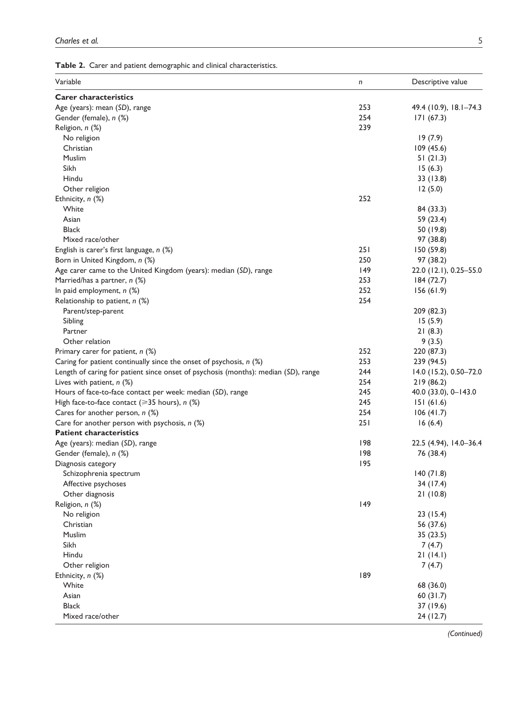| Variable                                                                           | n   | Descriptive value      |
|------------------------------------------------------------------------------------|-----|------------------------|
| <b>Carer characteristics</b>                                                       |     |                        |
| Age (years): mean (SD), range                                                      | 253 | 49.4 (10.9), 18.1-74.3 |
| Gender (female), n (%)                                                             | 254 | 171(67.3)              |
| Religion, n (%)                                                                    | 239 |                        |
| No religion                                                                        |     | 19(7.9)                |
| Christian                                                                          |     | 109 (45.6)             |
| Muslim                                                                             |     | 51(21.3)               |
| Sikh                                                                               |     | 15(6.3)                |
| Hindu                                                                              |     | 33 (13.8)              |
| Other religion                                                                     |     | 12(5.0)                |
| Ethnicity, n (%)                                                                   | 252 |                        |
| White                                                                              |     | 84 (33.3)              |
| Asian                                                                              |     | 59 (23.4)              |
| <b>Black</b>                                                                       |     | 50 (19.8)              |
| Mixed race/other                                                                   |     | 97 (38.8)              |
| English is carer's first language, n (%)                                           | 251 | 150 (59.8)             |
| Born in United Kingdom, n (%)                                                      | 250 | 97 (38.2)              |
| Age carer came to the United Kingdom (years): median (SD), range                   | 49  | 22.0 (12.1), 0.25-55.0 |
| Married/has a partner, n (%)                                                       | 253 | 184 (72.7)             |
| In paid employment, n (%)                                                          | 252 | 156(61.9)              |
| Relationship to patient, n (%)                                                     | 254 |                        |
| Parent/step-parent                                                                 |     | 209 (82.3)             |
| Sibling                                                                            |     | 15(5.9)                |
| Partner                                                                            |     | 21(8.3)                |
| Other relation                                                                     |     | 9(3.5)                 |
| Primary carer for patient, n (%)                                                   | 252 | 220 (87.3)             |
| Caring for patient continually since the onset of psychosis, $n$ (%)               | 253 | 239 (94.5)             |
| Length of caring for patient since onset of psychosis (months): median (SD), range | 244 | 14.0 (15.2), 0.50-72.0 |
| Lives with patient, $n$ (%)                                                        | 254 | 219 (86.2)             |
| Hours of face-to-face contact per week: median (SD), range                         | 245 | 40.0 (33.0), 0-143.0   |
| High face-to-face contact ( $\geq 35$ hours), n (%)                                | 245 | 151(61.6)              |
| Cares for another person, n (%)                                                    | 254 | 106(41.7)              |
| Care for another person with psychosis, n (%)                                      | 251 | 16(6.4)                |
| <b>Patient characteristics</b>                                                     |     |                        |
| Age (years): median (SD), range                                                    | 198 | 22.5 (4.94), 14.0-36.4 |
| Gender (female), n (%)                                                             | 198 | 76 (38.4)              |
| Diagnosis category                                                                 | 195 |                        |
| Schizophrenia spectrum                                                             |     | 140(71.8)              |
| Affective psychoses                                                                |     | 34 (17.4)              |
| Other diagnosis                                                                    |     |                        |
|                                                                                    | 49  | 21(10.8)               |
| Religion, n (%)                                                                    |     |                        |
| No religion<br>Christian                                                           |     | 23(15.4)               |
| Muslim                                                                             |     | 56 (37.6)<br>35(23.5)  |
| Sikh                                                                               |     |                        |
| Hindu                                                                              |     | 7(4.7)                 |
|                                                                                    |     | 21(14.1)               |
| Other religion                                                                     |     | 7(4.7)                 |
| Ethnicity, n (%)                                                                   | 189 |                        |
| White                                                                              |     | 68 (36.0)              |
| Asian                                                                              |     | 60(31.7)               |
| <b>Black</b>                                                                       |     | 37 (19.6)              |
| Mixed race/other                                                                   |     | 24 (12.7)              |

*(Continued)*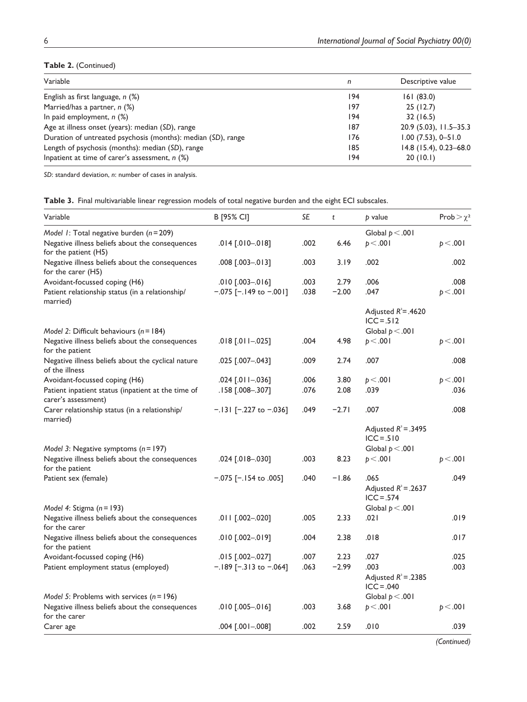# **Table 2.** (Continued)

| Variable                                                     | n   | Descriptive value      |
|--------------------------------------------------------------|-----|------------------------|
| English as first language, $n$ (%)                           | 194 | 161(83.0)              |
| Married/has a partner, $n$ (%)                               | 197 | 25(12.7)               |
| In paid employment, $n$ (%)                                  | 194 | 32(16.5)               |
| Age at illness onset (years): median (SD), range             | 187 | 20.9 (5.03), 11.5-35.3 |
| Duration of untreated psychosis (months): median (SD), range | 176 | $1.00$ (7.53), 0-51.0  |
| Length of psychosis (months): median (SD), range             | 185 | 14.8 (15.4), 0.23-68.0 |
| Inpatient at time of carer's assessment, $n$ (%)             | 194 | 20(10.1)               |

*SD*: standard deviation, *n*: number of cases in analysis.

| Table 3. Final multivariable linear regression models of total negative burden and the eight ECI subscales. |  |  |  |
|-------------------------------------------------------------------------------------------------------------|--|--|--|
|-------------------------------------------------------------------------------------------------------------|--|--|--|

| Variable                                                                                     | B [95% CI]                                                | SE           | t               | p value                                        | Prob $>\chi^2$   |
|----------------------------------------------------------------------------------------------|-----------------------------------------------------------|--------------|-----------------|------------------------------------------------|------------------|
| Model 1: Total negative burden $(n=209)$<br>Negative illness beliefs about the consequences  | $.014$ $[.010 - .018]$                                    | .002         | 6.46            | Global $p < .001$<br>p < .001                  | p < .001         |
| for the patient (H5)                                                                         |                                                           |              |                 |                                                |                  |
| Negative illness beliefs about the consequences<br>for the carer (H5)                        | .008 [.003-.013]                                          | .003         | 3.19            | .002                                           | .002             |
| Avoidant-focussed coping (H6)<br>Patient relationship status (in a relationship/<br>married) | $.010$ $-.003 - .016$ ]<br>$-.075$ [ $-.149$ to $-.001$ ] | .003<br>.038 | 2.79<br>$-2.00$ | .006<br>.047                                   | .008<br>p < .001 |
|                                                                                              |                                                           |              |                 | Adjusted $R^2 = .4620$<br>$ICC = .512$         |                  |
| Model 2: Difficult behaviours $(n = 184)$                                                    |                                                           |              |                 | Global $p < .001$                              |                  |
| Negative illness beliefs about the consequences<br>for the patient                           | .018 [.011 -.025]                                         | .004         | 4.98            | p < .001                                       | p < .001         |
| Negative illness beliefs about the cyclical nature<br>of the illness                         | .025 [.007-.043]                                          | .009         | 2.74            | .007                                           | .008             |
| Avoidant-focussed coping (H6)                                                                | .024 [.011 -.036]                                         | .006         | 3.80            | p < .001                                       | p < .001         |
| Patient inpatient status (inpatient at the time of<br>carer's assessment)                    | .158 [.008-.307]                                          | .076         | 2.08            | .039                                           | .036             |
| Carer relationship status (in a relationship/<br>married)                                    | $-.131$ [ $-.227$ to $-.036$ ]                            | .049         | $-2.71$         | .007                                           | .008             |
|                                                                                              |                                                           |              |                 | Adjusted $R^2 = .3495$<br>$ICC = .510$         |                  |
| Model 3: Negative symptoms $(n = 197)$                                                       |                                                           |              |                 | Global $p < .001$                              |                  |
| Negative illness beliefs about the consequences<br>for the patient                           | .024 [.018-.030]                                          | .003         | 8.23            | p < .001                                       | p < .001         |
| Patient sex (female)                                                                         | $-.075$ [-.154 to .005]                                   | .040         | $-1.86$         | .065<br>Adjusted $R^2$ = .2637<br>$ICC = .574$ | .049             |
| Model 4: Stigma $(n = 193)$                                                                  |                                                           |              |                 | Global $p < .001$                              |                  |
| Negative illness beliefs about the consequences<br>for the carer                             | .011 [.002-.020]                                          | .005         | 2.33            | .021                                           | .019             |
| Negative illness beliefs about the consequences<br>for the patient                           | .010 [.002-.019]                                          | .004         | 2.38            | .018                                           | .017             |
| Avoidant-focussed coping (H6)                                                                | .015 [.002-.027]                                          | .007         | 2.23            | .027                                           | .025             |
| Patient employment status (employed)                                                         | $-.189$ [-.313 to -.064]                                  | .063         | $-2.99$         | .003<br>Adjusted $R^2 = .2385$<br>$ICC = .040$ | .003             |
| Model 5: Problems with services $(n = 196)$                                                  |                                                           |              |                 | Global $p < .001$                              |                  |
| Negative illness beliefs about the consequences<br>for the carer                             | .010 [.005 -.016]                                         | .003         | 3.68            | p < .001                                       | p < .001         |
| Carer age                                                                                    | 004 [.001 -.008]                                          | .002         | 2.59            | .010                                           | .039             |

*(Continued)*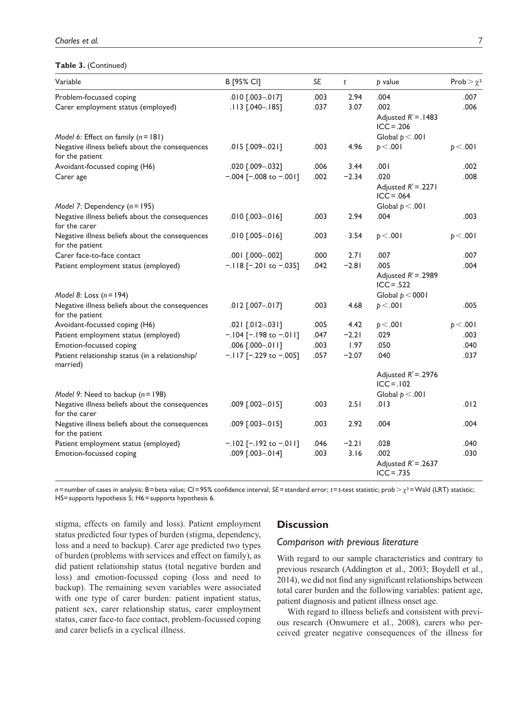## **Table 3.** (Continued)

| Variable                                                           | B [95% CI]               | SE   | t       | $p$ value                                      | Prob $>\chi^2$ |
|--------------------------------------------------------------------|--------------------------|------|---------|------------------------------------------------|----------------|
| Problem-focussed coping                                            | $.010$ $[.003 - .017]$   | .003 | 2.94    | .004                                           | .007           |
| Carer employment status (employed)                                 | .113 [.040-.185]         | .037 | 3.07    | .002                                           | .006           |
|                                                                    |                          |      |         | Adjusted $R^2$ = .1483<br>$ICC = .206$         |                |
| Model 6: Effect on family $(n = 181)$                              |                          |      |         | Global $p < .001$                              |                |
| Negative illness beliefs about the consequences<br>for the patient | $.015$ $[.009 - .021]$   | .003 | 4.96    | p < .001                                       | p < .001       |
| Avoidant-focussed coping (H6)                                      | .020 [.009-.032]         | .006 | 3.44    | .001                                           | .002           |
| Carer age                                                          | $-.004$ [-.008 to -.001] | .002 | $-2.34$ | .020<br>Adjusted $R^2 = .2271$<br>$ICC = .064$ | .008           |
| Model 7: Dependency $(n = 195)$                                    |                          |      |         | Global $p < .001$                              |                |
| Negative illness beliefs about the consequences<br>for the carer   | $.010$ $-.003 - .016$ ]  | .003 | 2.94    | .004                                           | .003           |
| Negative illness beliefs about the consequences<br>for the patient | $.010$ $[.005 - .016]$   | .003 | 3.54    | p < .001                                       | p < .001       |
| Carer face-to-face contact                                         | .001 [.000-.002]         | .000 | 2.71    | .007                                           | .007           |
| Patient employment status (employed)                               | $-.118$ [-.201 to -.035] | .042 | $-2.81$ | .005                                           | .004           |
|                                                                    |                          |      |         | Adjusted $R^2$ = .2989<br>$ICC = .522$         |                |
| Model 8: Loss $(n = 194)$                                          |                          |      |         | Global $p < 0001$                              |                |
| Negative illness beliefs about the consequences<br>for the patient | .012 [.007 -.017]        | .003 | 4.68    | p < .001                                       | .005           |
| Avoidant-focussed coping (H6)                                      | $.021$ $[.012-.031]$     | .005 | 4.42    | p < .001                                       | p < .001       |
| Patient employment status (employed)                               | $-.104$ [-.198 to -.011] | .047 | $-2.21$ | .029                                           | .003           |
| Emotion-focussed coping                                            | .006 [.000 - 011]        | .003 | 1.97    | .050                                           | .040           |
| Patient relationship status (in a relationship/<br>married)        | $-.117$ [-.229 to -.005] | .057 | $-2.07$ | .040                                           | .037           |
|                                                                    |                          |      |         | Adjusted $R^2$ = .2976<br>$ICC = 102$          |                |
| Model 9: Need to backup $(n = 198)$                                |                          |      |         | Global $p < .001$                              |                |
| Negative illness beliefs about the consequences<br>for the carer   | .009 [.002-.015]         | .003 | 2.51    | .013                                           | .012           |
| Negative illness beliefs about the consequences<br>for the patient | .009 [.003-.015]         | .003 | 2.92    | .004                                           | .004           |
| Patient employment status (employed)                               | $-.102$ [-.192 to -.011] | .046 | $-2.21$ | .028                                           | .040           |
| Emotion-focussed coping                                            | .009 [.003-.014]         | .003 | 3.16    | .002<br>Adjusted $R^2$ = .2637<br>$ICC = .735$ | .030           |

*n*=number of cases in analysis; B=beta value; CI=95% confidence interval; *SE*=standard error; *t*=*t*-test statistic; prob>χ²=Wald (LRT) statistic; H5=supports hypothesis 5; H6=supports hypothesis 6.

stigma, effects on family and loss). Patient employment status predicted four types of burden (stigma, dependency, loss and a need to backup). Carer age predicted two types of burden (problems with services and effect on family), as did patient relationship status (total negative burden and loss) and emotion-focussed coping (loss and need to backup). The remaining seven variables were associated with one type of carer burden: patient inpatient status, patient sex, carer relationship status, carer employment status, carer face-to face contact, problem-focussed coping and carer beliefs in a cyclical illness.

# **Discussion**

## *Comparison with previous literature*

With regard to our sample characteristics and contrary to previous research (Addington et al., 2003; Boydell et al., 2014), we did not find any significant relationships between total carer burden and the following variables: patient age, patient diagnosis and patient illness onset age.

With regard to illness beliefs and consistent with previous research (Onwumere et al., 2008), carers who perceived greater negative consequences of the illness for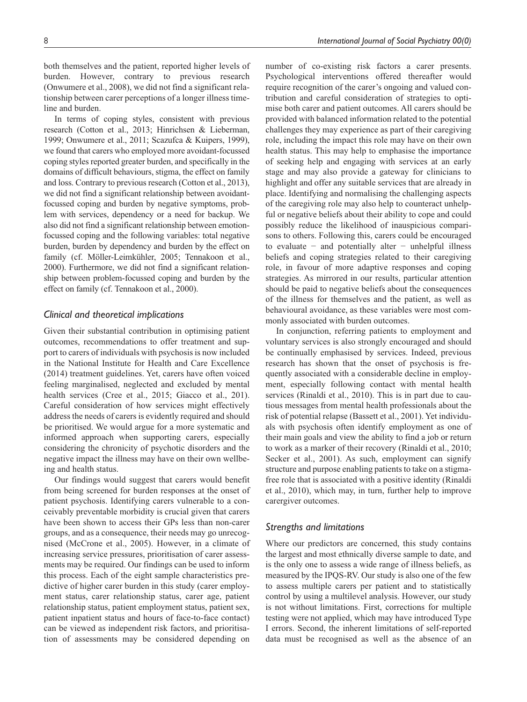both themselves and the patient, reported higher levels of burden. However, contrary to previous research (Onwumere et al., 2008), we did not find a significant relationship between carer perceptions of a longer illness timeline and burden.

In terms of coping styles, consistent with previous research (Cotton et al., 2013; Hinrichsen & Lieberman, 1999; Onwumere et al., 2011; Scazufca & Kuipers, 1999), we found that carers who employed more avoidant-focussed coping styles reported greater burden, and specifically in the domains of difficult behaviours, stigma, the effect on family and loss. Contrary to previous research (Cotton et al., 2013), we did not find a significant relationship between avoidantfocussed coping and burden by negative symptoms, problem with services, dependency or a need for backup. We also did not find a significant relationship between emotionfocussed coping and the following variables: total negative burden, burden by dependency and burden by the effect on family (cf. Möller-Leimkühler, 2005; Tennakoon et al., 2000). Furthermore, we did not find a significant relationship between problem-focussed coping and burden by the effect on family (cf. Tennakoon et al., 2000).

# *Clinical and theoretical implications*

Given their substantial contribution in optimising patient outcomes, recommendations to offer treatment and support to carers of individuals with psychosis is now included in the National Institute for Health and Care Excellence (2014) treatment guidelines. Yet, carers have often voiced feeling marginalised, neglected and excluded by mental health services (Cree et al., 2015; Giacco et al., 201). Careful consideration of how services might effectively address the needs of carers is evidently required and should be prioritised. We would argue for a more systematic and informed approach when supporting carers, especially considering the chronicity of psychotic disorders and the negative impact the illness may have on their own wellbeing and health status.

Our findings would suggest that carers would benefit from being screened for burden responses at the onset of patient psychosis. Identifying carers vulnerable to a conceivably preventable morbidity is crucial given that carers have been shown to access their GPs less than non-carer groups, and as a consequence, their needs may go unrecognised (McCrone et al., 2005). However, in a climate of increasing service pressures, prioritisation of carer assessments may be required. Our findings can be used to inform this process. Each of the eight sample characteristics predictive of higher carer burden in this study (carer employment status, carer relationship status, carer age, patient relationship status, patient employment status, patient sex, patient inpatient status and hours of face-to-face contact) can be viewed as independent risk factors, and prioritisation of assessments may be considered depending on

number of co-existing risk factors a carer presents. Psychological interventions offered thereafter would require recognition of the carer's ongoing and valued contribution and careful consideration of strategies to optimise both carer and patient outcomes. All carers should be provided with balanced information related to the potential challenges they may experience as part of their caregiving role, including the impact this role may have on their own health status. This may help to emphasise the importance of seeking help and engaging with services at an early stage and may also provide a gateway for clinicians to highlight and offer any suitable services that are already in place. Identifying and normalising the challenging aspects of the caregiving role may also help to counteract unhelpful or negative beliefs about their ability to cope and could possibly reduce the likelihood of inauspicious comparisons to others. Following this, carers could be encouraged to evaluate − and potentially alter − unhelpful illness beliefs and coping strategies related to their caregiving role, in favour of more adaptive responses and coping strategies. As mirrored in our results, particular attention should be paid to negative beliefs about the consequences of the illness for themselves and the patient, as well as behavioural avoidance, as these variables were most commonly associated with burden outcomes.

In conjunction, referring patients to employment and voluntary services is also strongly encouraged and should be continually emphasised by services. Indeed, previous research has shown that the onset of psychosis is frequently associated with a considerable decline in employment, especially following contact with mental health services (Rinaldi et al., 2010). This is in part due to cautious messages from mental health professionals about the risk of potential relapse (Bassett et al., 2001). Yet individuals with psychosis often identify employment as one of their main goals and view the ability to find a job or return to work as a marker of their recovery (Rinaldi et al., 2010; Secker et al., 2001). As such, employment can signify structure and purpose enabling patients to take on a stigmafree role that is associated with a positive identity (Rinaldi et al., 2010), which may, in turn, further help to improve carergiver outcomes.

## *Strengths and limitations*

Where our predictors are concerned, this study contains the largest and most ethnically diverse sample to date, and is the only one to assess a wide range of illness beliefs, as measured by the IPQS-RV. Our study is also one of the few to assess multiple carers per patient and to statistically control by using a multilevel analysis. However, our study is not without limitations. First, corrections for multiple testing were not applied, which may have introduced Type I errors. Second, the inherent limitations of self-reported data must be recognised as well as the absence of an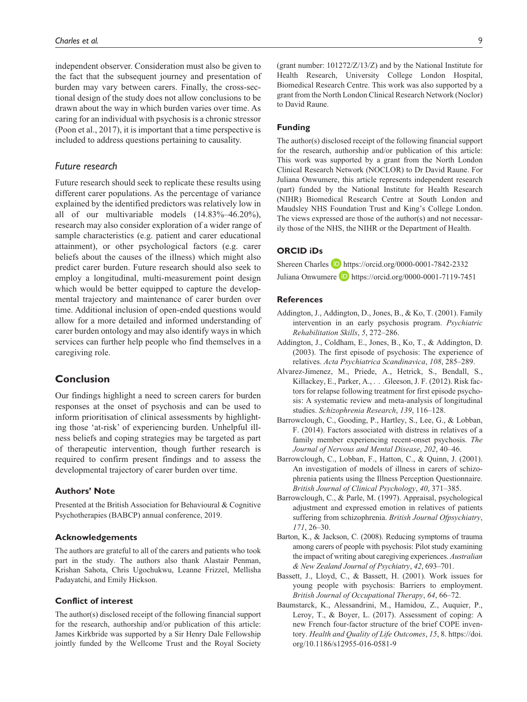independent observer. Consideration must also be given to the fact that the subsequent journey and presentation of burden may vary between carers. Finally, the cross-sectional design of the study does not allow conclusions to be drawn about the way in which burden varies over time. As caring for an individual with psychosis is a chronic stressor (Poon et al., 2017), it is important that a time perspective is included to address questions pertaining to causality.

## *Future research*

Future research should seek to replicate these results using different carer populations. As the percentage of variance explained by the identified predictors was relatively low in all of our multivariable models (14.83%–46.20%), research may also consider exploration of a wider range of sample characteristics (e.g. patient and carer educational attainment), or other psychological factors (e.g. carer beliefs about the causes of the illness) which might also predict carer burden. Future research should also seek to employ a longitudinal, multi-measurement point design which would be better equipped to capture the developmental trajectory and maintenance of carer burden over time. Additional inclusion of open-ended questions would allow for a more detailed and informed understanding of carer burden ontology and may also identify ways in which services can further help people who find themselves in a caregiving role.

# **Conclusion**

Our findings highlight a need to screen carers for burden responses at the onset of psychosis and can be used to inform prioritisation of clinical assessments by highlighting those 'at-risk' of experiencing burden. Unhelpful illness beliefs and coping strategies may be targeted as part of therapeutic intervention, though further research is required to confirm present findings and to assess the developmental trajectory of carer burden over time.

#### **Authors' Note**

Presented at the British Association for Behavioural & Cognitive Psychotherapies (BABCP) annual conference, 2019.

#### **Acknowledgements**

The authors are grateful to all of the carers and patients who took part in the study. The authors also thank Alastair Penman, Krishan Sahota, Chris Ugochukwu, Leanne Frizzel, Mellisha Padayatchi, and Emily Hickson.

## **Conflict of interest**

The author(s) disclosed receipt of the following financial support for the research, authorship and/or publication of this article: James Kirkbride was supported by a Sir Henry Dale Fellowship jointly funded by the Wellcome Trust and the Royal Society

(grant number: 101272/Z/13/Z) and by the National Institute for Health Research, University College London Hospital, Biomedical Research Centre. This work was also supported by a grant from the North London Clinical Research Network (Noclor) to David Raune.

## **Funding**

The author(s) disclosed receipt of the following financial support for the research, authorship and/or publication of this article: This work was supported by a grant from the North London Clinical Research Network (NOCLOR) to Dr David Raune. For Juliana Onwumere, this article represents independent research (part) funded by the National Institute for Health Research (NIHR) Biomedical Research Centre at South London and Maudsley NHS Foundation Trust and King's College London. The views expressed are those of the author(s) and not necessarily those of the NHS, the NIHR or the Department of Health.

## **ORCID iDs**

Shereen Charles **b** <https://orcid.org/0000-0001-7842-2332> Juliana Onwumere **D** <https://orcid.org/0000-0001-7119-7451>

#### **References**

- Addington, J., Addington, D., Jones, B., & Ko, T. (2001). Family intervention in an early psychosis program. *Psychiatric Rehabilitation Skills*, *5*, 272–286.
- Addington, J., Coldham, E., Jones, B., Ko, T., & Addington, D. (2003). The first episode of psychosis: The experience of relatives. *Acta Psychiatrica Scandinavica*, *108*, 285–289.
- Alvarez-Jimenez, M., Priede, A., Hetrick, S., Bendall, S., Killackey, E., Parker, A., . . .Gleeson, J. F. (2012). Risk factors for relapse following treatment for first episode psychosis: A systematic review and meta-analysis of longitudinal studies. *Schizophrenia Research*, *139*, 116–128.
- Barrowclough, C., Gooding, P., Hartley, S., Lee, G., & Lobban, F. (2014). Factors associated with distress in relatives of a family member experiencing recent-onset psychosis. *The Journal of Nervous and Mental Disease*, *202*, 40–46.
- Barrowclough, C., Lobban, F., Hatton, C., & Quinn, J. (2001). An investigation of models of illness in carers of schizophrenia patients using the Illness Perception Questionnaire. *British Journal of Clinical Psychology*, *40*, 371–385.
- Barrowclough, C., & Parle, M. (1997). Appraisal, psychological adjustment and expressed emotion in relatives of patients suffering from schizophrenia. *British Journal Ofpsychiatry*, *171*, 26–30.
- Barton, K., & Jackson, C. (2008). Reducing symptoms of trauma among carers of people with psychosis: Pilot study examining the impact of writing about caregiving experiences. *Australian & New Zealand Journal of Psychiatry*, *42*, 693–701.
- Bassett, J., Lloyd, C., & Bassett, H. (2001). Work issues for young people with psychosis: Barriers to employment. *British Journal of Occupational Therapy*, *64*, 66–72.
- Baumstarck, K., Alessandrini, M., Hamidou, Z., Auquier, P., Leroy, T., & Boyer, L. (2017). Assessment of coping: A new French four-factor structure of the brief COPE inventory. *Health and Quality of Life Outcomes*, *15*, 8. [https://doi.](https://doi.org/10.1186/s12955-016-0581-9) [org/10.1186/s12955-016-0581-9](https://doi.org/10.1186/s12955-016-0581-9)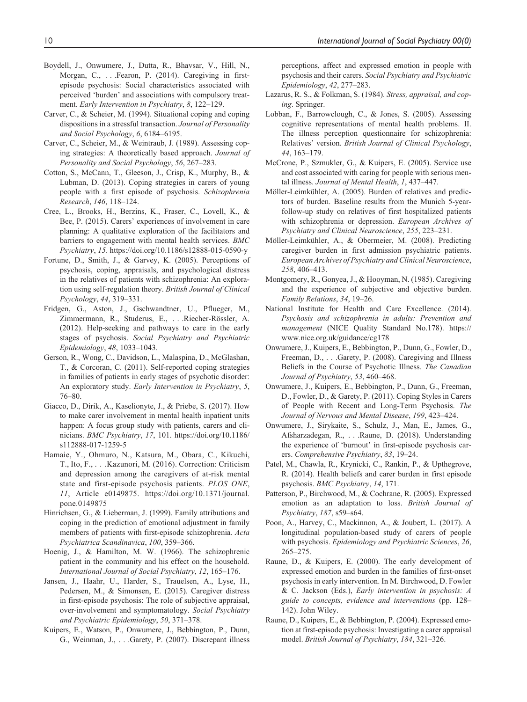- Boydell, J., Onwumere, J., Dutta, R., Bhavsar, V., Hill, N., Morgan, C., . . .Fearon, P. (2014). Caregiving in firstepisode psychosis: Social characteristics associated with perceived 'burden' and associations with compulsory treatment. *Early Intervention in Psychiatry*, *8*, 122–129.
- Carver, C., & Scheier, M. (1994). Situational coping and coping dispositions in a stressful transaction. *Journal of Personality and Social Psychology*, *6*, 6184–6195.
- Carver, C., Scheier, M., & Weintraub, J. (1989). Assessing coping strategies: A theoretically based approach. *Journal of Personality and Social Psychology*, *56*, 267–283.
- Cotton, S., McCann, T., Gleeson, J., Crisp, K., Murphy, B., & Lubman, D. (2013). Coping strategies in carers of young people with a first episode of psychosis. *Schizophrenia Research*, *146*, 118–124.
- Cree, L., Brooks, H., Berzins, K., Fraser, C., Lovell, K., & Bee, P. (2015). Carers' experiences of involvement in care planning: A qualitative exploration of the facilitators and barriers to engagement with mental health services. *BMC Psychiatry*, *15*.<https://doi.org/10.1186/s12888-015-0590-y>
- Fortune, D., Smith, J., & Garvey, K. (2005). Perceptions of psychosis, coping, appraisals, and psychological distress in the relatives of patients with schizophrenia: An exploration using self-regulation theory. *British Journal of Clinical Psychology*, *44*, 319–331.
- Fridgen, G., Aston, J., Gschwandtner, U., Pflueger, M., Zimmermann, R., Studerus, E., . . .Riecher-Rössler, A. (2012). Help-seeking and pathways to care in the early stages of psychosis. *Social Psychiatry and Psychiatric Epidemiology*, *48*, 1033–1043.
- Gerson, R., Wong, C., Davidson, L., Malaspina, D., McGlashan, T., & Corcoran, C. (2011). Self-reported coping strategies in families of patients in early stages of psychotic disorder: An exploratory study. *Early Intervention in Psychiatry*, *5*, 76–80.
- Giacco, D., Dirik, A., Kaselionyte, J., & Priebe, S. (2017). How to make carer involvement in mental health inpatient units happen: A focus group study with patients, carers and clinicians. *BMC Psychiatry*, *17*, 101. [https://doi.org/10.1186/](https://doi.org/10.1186/s112888-017-1259-5) [s112888-017-1259-5](https://doi.org/10.1186/s112888-017-1259-5)
- Hamaie, Y., Ohmuro, N., Katsura, M., Obara, C., Kikuchi, T., Ito, F., . . .Kazunori, M. (2016). Correction: Criticism and depression among the caregivers of at-risk mental state and first-episode psychosis patients. *PLOS ONE*, *11*, Article e0149875. [https://doi.org/10.1371/journal.](https://doi.org/10.1371/journal.pone.0149875) [pone.0149875](https://doi.org/10.1371/journal.pone.0149875)
- Hinrichsen, G., & Lieberman, J. (1999). Family attributions and coping in the prediction of emotional adjustment in family members of patients with first-episode schizophrenia. *Acta Psychiatrica Scandinavica*, *100*, 359–366.
- Hoenig, J., & Hamilton, M. W. (1966). The schizophrenic patient in the community and his effect on the household. *International Journal of Social Psychiatry*, *12*, 165–176.
- Jansen, J., Haahr, U., Harder, S., Trauelsen, A., Lyse, H., Pedersen, M., & Simonsen, E. (2015). Caregiver distress in first-episode psychosis: The role of subjective appraisal, over-involvement and symptomatology. *Social Psychiatry and Psychiatric Epidemiology*, *50*, 371–378.
- Kuipers, E., Watson, P., Onwumere, J., Bebbington, P., Dunn, G., Weinman, J., . . .Garety, P. (2007). Discrepant illness

perceptions, affect and expressed emotion in people with psychosis and their carers. *Social Psychiatry and Psychiatric Epidemiology*, *42*, 277–283.

- Lazarus, R. S., & Folkman, S. (1984). *Stress, appraisal, and coping*. Springer.
- Lobban, F., Barrowclough, C., & Jones, S. (2005). Assessing cognitive representations of mental health problems. II. The illness perception questionnaire for schizophrenia: Relatives' version. *British Journal of Clinical Psychology*, *44*, 163–179.
- McCrone, P., Szmukler, G., & Kuipers, E. (2005). Service use and cost associated with caring for people with serious mental illness. *Journal of Mental Health*, *1*, 437–447.
- Möller-Leimkühler, A. (2005). Burden of relatives and predictors of burden. Baseline results from the Munich 5-yearfollow-up study on relatives of first hospitalized patients with schizophrenia or depression. *European Archives of Psychiatry and Clinical Neuroscience*, *255*, 223–231.
- Möller-Leimkühler, A., & Obermeier, M. (2008). Predicting caregiver burden in first admission psychiatric patients. *European Archives of Psychiatry and Clinical Neuroscience*, *258*, 406–413.
- Montgomery, R., Gonyea, J., & Hooyman, N. (1985). Caregiving and the experience of subjective and objective burden. *Family Relations*, *34*, 19–26.
- National Institute for Health and Care Excellence. (2014). *Psychosis and schizophrenia in adults: Prevention and management* (NICE Quality Standard No.178). [https://](https://www.nice.org.uk/guidance/cg178) [www.nice.org.uk/guidance/cg178](https://www.nice.org.uk/guidance/cg178)
- Onwumere, J., Kuipers, E., Bebbington, P., Dunn, G., Fowler, D., Freeman, D., . . .Garety, P. (2008). Caregiving and Illness Beliefs in the Course of Psychotic Illness. *The Canadian Journal of Psychiatry*, *53*, 460–468.
- Onwumere, J., Kuipers, E., Bebbington, P., Dunn, G., Freeman, D., Fowler, D., & Garety, P. (2011). Coping Styles in Carers of People with Recent and Long-Term Psychosis. *The Journal of Nervous and Mental Disease*, *199*, 423–424.
- Onwumere, J., Sirykaite, S., Schulz, J., Man, E., James, G., Afsharzadegan, R., . . .Raune, D. (2018). Understanding the experience of 'burnout' in first-episode psychosis carers. *Comprehensive Psychiatry*, *83*, 19–24.
- Patel, M., Chawla, R., Krynicki, C., Rankin, P., & Upthegrove, R. (2014). Health beliefs and carer burden in first episode psychosis. *BMC Psychiatry*, *14*, 171.
- Patterson, P., Birchwood, M., & Cochrane, R. (2005). Expressed emotion as an adaptation to loss. *British Journal of Psychiatry*, *187*, s59–s64.
- Poon, A., Harvey, C., Mackinnon, A., & Joubert, L. (2017). A longitudinal population-based study of carers of people with psychosis. *Epidemiology and Psychiatric Sciences*, *26*, 265–275.
- Raune, D., & Kuipers, E. (2000). The early development of expressed emotion and burden in the families of first-onset psychosis in early intervention. In M. Birchwood, D. Fowler & C. Jackson (Eds.), *Early intervention in psychosis: A guide to concepts, evidence and interventions* (pp. 128– 142). John Wiley.
- Raune, D., Kuipers, E., & Bebbington, P. (2004). Expressed emotion at first-episode psychosis: Investigating a carer appraisal model. *British Journal of Psychiatry*, *184*, 321–326.